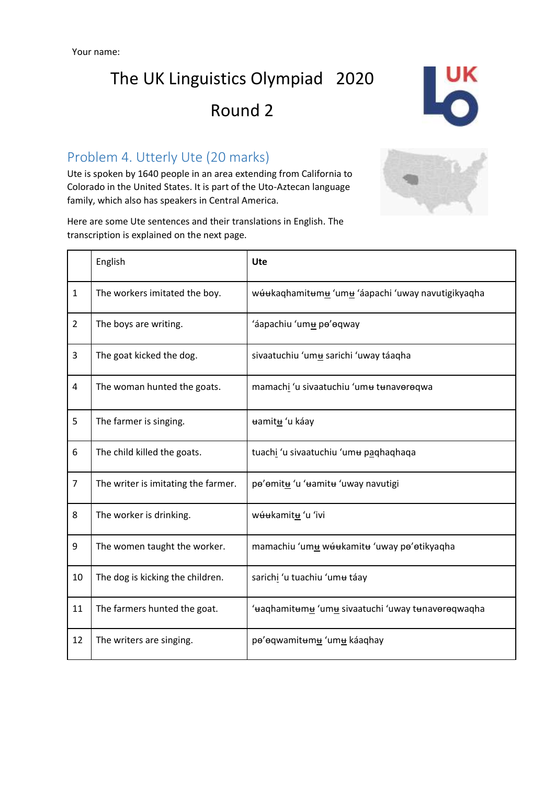## The UK Linguistics Olympiad 2020 Round 2



### Problem 4. Utterly Ute (20 marks)

Ute is spoken by 1640 people in an area extending from California to Colorado in the United States. It is part of the Uto-Aztecan language family, which also has speakers in Central America.

Here are some Ute sentences and their translations in English. The transcription is explained on the next page.

|                | English                             | <b>Ute</b>                                                     |  |
|----------------|-------------------------------------|----------------------------------------------------------------|--|
| $\mathbf{1}$   | The workers imitated the boy.       | w <del>úu</del> kaqhamitumu 'umu 'áapachi 'uway navutigikyaqha |  |
| $\overline{2}$ | The boys are writing.               | 'áapachiu 'um <b>u</b> pe'eqway                                |  |
| 3              | The goat kicked the dog.            | sivaatuchiu 'um <b>u</b> sarichi 'uway táaqha                  |  |
| 4              | The woman hunted the goats.         | mamachi 'u sivaatuchiu 'umu tunavoroqwa                        |  |
| 5              | The farmer is singing.              | uamitu 'u káay                                                 |  |
| 6              | The child killed the goats.         | tuachi 'u sivaatuchiu 'umu paqhaqhaqa                          |  |
| $\overline{7}$ | The writer is imitating the farmer. | pe'emitu 'u 'uamitu 'uway navutigi                             |  |
| 8              | The worker is drinking.             | w <del>úu</del> kamitu 'u 'ivi                                 |  |
| 9              | The women taught the worker.        | mamachiu 'um <b>u</b> wuukamitu 'uway pe'etikyaqha             |  |
| 10             | The dog is kicking the children.    | sarichi 'u tuachiu 'umu táay                                   |  |
| 11             | The farmers hunted the goat.        | 'uaqhamitumu'umu sivaatuchi 'uway tunavoroqwaqha'              |  |
| 12             | The writers are singing.            | pe'eqwamitumu 'umu káaqhay                                     |  |

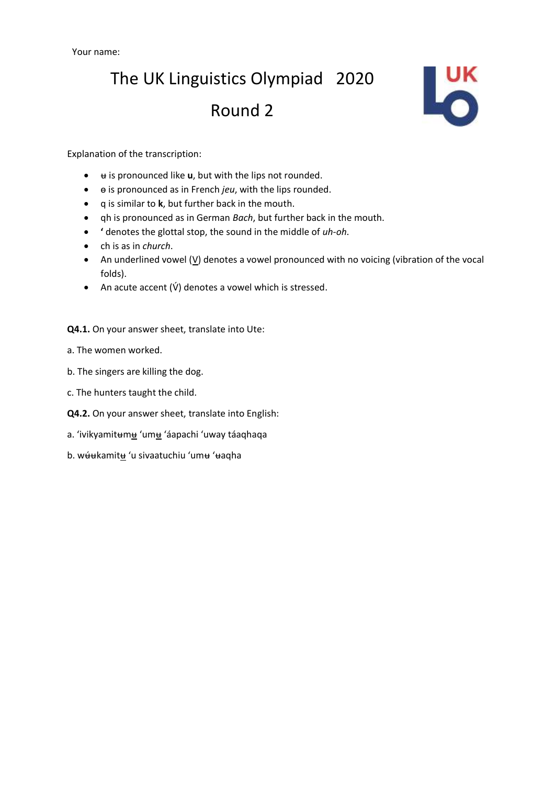## The UK Linguistics Olympiad 2020 Round 2



Explanation of the transcription:

- ʉ is pronounced like **u**, but with the lips not rounded.
- ɵ is pronounced as in French *jeu*, with the lips rounded.
- q is similar to **k**, but further back in the mouth.
- qh is pronounced as in German *Bach*, but further back in the mouth.
- **'** denotes the glottal stop, the sound in the middle of *uh-oh*.
- ch is as in *church*.
- An underlined vowel (V) denotes a vowel pronounced with no voicing (vibration of the vocal folds).
- An acute accent  $(V)$  denotes a vowel which is stressed.

**Q4.1.** On your answer sheet, translate into Ute:

- a. The women worked.
- b. The singers are killing the dog.
- c. The hunters taught the child.
- **Q4.2.** On your answer sheet, translate into English:
- a. 'ivikyamitʉm<u>ʉ</u> 'um<u>ʉ</u> 'áapachi 'uway táaqhaqa
- b. wʉ́ʉkamitʉ 'u sivaatuchiu 'umʉ 'ʉaqha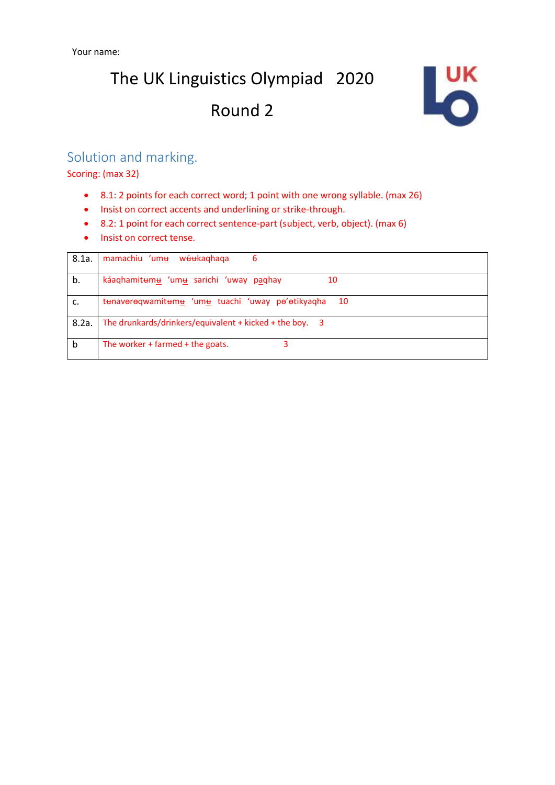# The UK Linguistics Olympiad 2020 Round 2



#### Solution and marking.

Scoring: (max 32)

- 8.1: 2 points for each correct word; 1 point with one wrong syllable. (max 26)
- Insist on correct accents and underlining or strike-through.
- 8.2: 1 point for each correct sentence-part (subject, verb, object). (max 6)
- Insist on correct tense.

| 8.1a. | mamachiu 'um <del>u</del><br>w <del>úu</del> kaghaga<br>6   |  |  |
|-------|-------------------------------------------------------------|--|--|
| b.    | káaqhamitumu 'umu sarichi 'uway paqhay<br>10                |  |  |
| c.    | tunavereqwamitumu 'umu tuachi 'uway pe'etikyagha 10         |  |  |
| 8.2a. | The drunkards/drinkers/equivalent $+$ kicked $+$ the boy. 3 |  |  |
| b     | The worker $+$ farmed $+$ the goats.                        |  |  |